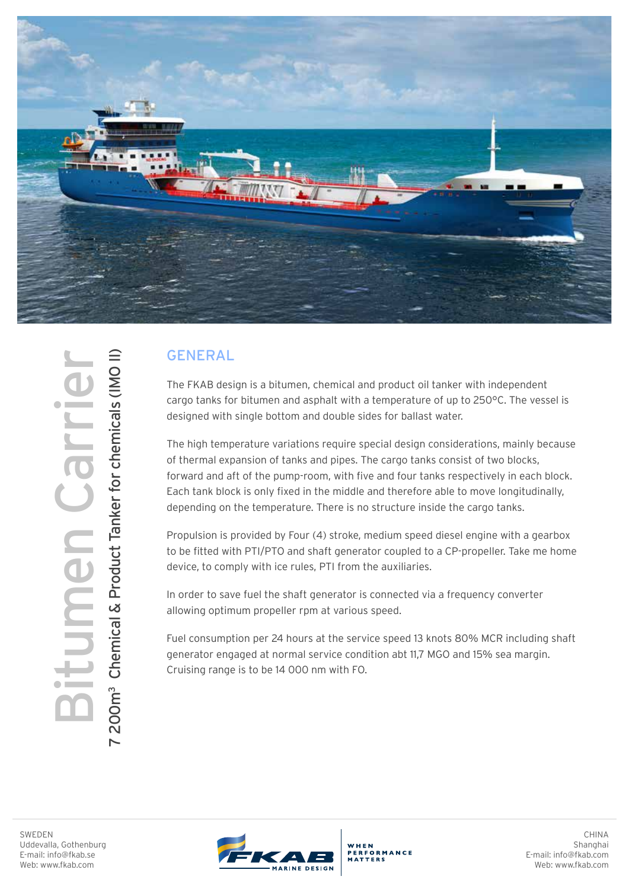

## GENERAL

The FKAB design is a bitumen, chemical and product oil tanker with independent cargo tanks for bitumen and asphalt with a temperature of up to 250°C. The vessel is designed with single bottom and double sides for ballast water.

The high temperature variations require special design considerations, mainly because of thermal expansion of tanks and pipes. The cargo tanks consist of two blocks, forward and aft of the pump-room, with five and four tanks respectively in each block. Each tank block is only fixed in the middle and therefore able to move longitudinally, depending on the temperature. There is no structure inside the cargo tanks.

Propulsion is provided by Four (4) stroke, medium speed diesel engine with a gearbox to be fitted with PTI/PTO and shaft generator coupled to a CP-propeller. Take me home device, to comply with ice rules, PTI from the auxiliaries.

In order to save fuel the shaft generator is connected via a frequency converter allowing optimum propeller rpm at various speed.

Fuel consumption per 24 hours at the service speed 13 knots 80% MCR including shaft generator engaged at normal service condition abt 11,7 MGO and 15% sea margin. Cruising range is to be 14 000 nm with FO.

SWEDEN<br>BURGRAIN, Gotherb<br>E-mail: info@fkab.se<br>Web: www.fkab.com 7 200m3 Chemical & Product Tanker for chemicals (IMO II) 200m<sup>3</sup> Chemical & Product Tanker for chemicals (IMO II) **JIMEN Ca**